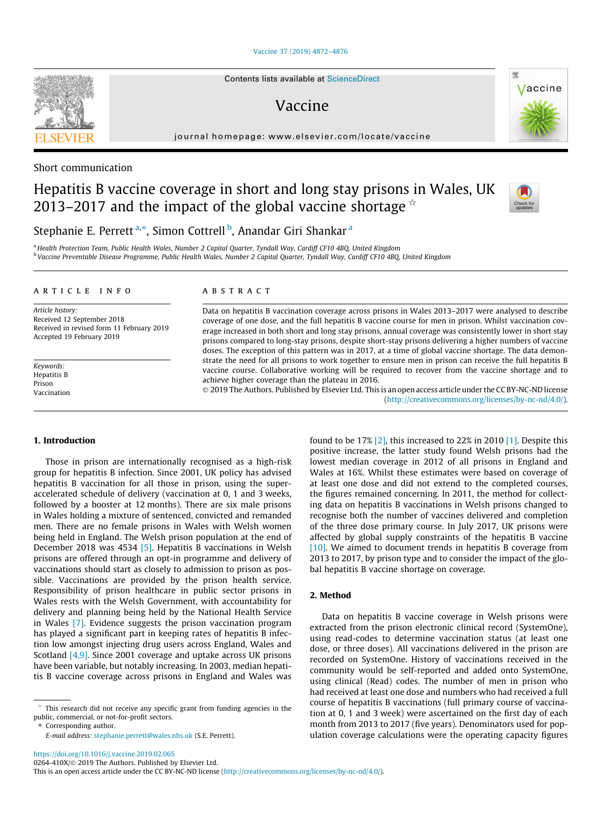[Vaccine 37 \(2019\) 4872–4876](https://doi.org/10.1016/j.vaccine.2019.02.065)

## Vaccine

journal homepage: [www.elsevier.com/locate/vaccine](http://www.elsevier.com/locate/vaccine)



# Hepatitis B vaccine coverage in short and long stay prisons in Wales, UK 2013–2017 and the impact of the global vaccine shortage  $\dot{\mathbf{r}}$



Vaccine

Stephanie E. Perrett<sup>a,\*</sup>, Simon Cottrell <sup>b</sup>, Anandar Giri Shankar <sup>a</sup>

<sup>a</sup> Health Protection Team, Public Health Wales, Number 2 Capital Quarter, Tyndall Way, Cardiff CF10 4BQ, United Kingdom <sup>b</sup> Vaccine Preventable Disease Programme, Public Health Wales, Number 2 Capital Quarter, Tyndall Way, Cardiff CF10 4BQ, United Kingdom

#### article info

Article history: Received 12 September 2018 Received in revised form 11 February 2019 Accepted 19 February 2019

Keywords: Hepatitis B Prison Vaccination

#### ABSTRACT

Data on hepatitis B vaccination coverage across prisons in Wales 2013–2017 were analysed to describe coverage of one dose, and the full hepatitis B vaccine course for men in prison. Whilst vaccination coverage increased in both short and long stay prisons, annual coverage was consistently lower in short stay prisons compared to long-stay prisons, despite short-stay prisons delivering a higher numbers of vaccine doses. The exception of this pattern was in 2017, at a time of global vaccine shortage. The data demonstrate the need for all prisons to work together to ensure men in prison can receive the full hepatitis B vaccine course. Collaborative working will be required to recover from the vaccine shortage and to achieve higher coverage than the plateau in 2016.

 2019 The Authors. Published by Elsevier Ltd. This is an open access article under the CC BY-NC-ND license (<http://creativecommons.org/licenses/by-nc-nd/4.0/>).

## 1. Introduction

Those in prison are internationally recognised as a high-risk group for hepatitis B infection. Since 2001, UK policy has advised hepatitis B vaccination for all those in prison, using the superaccelerated schedule of delivery (vaccination at 0, 1 and 3 weeks, followed by a booster at 12 months). There are six male prisons in Wales holding a mixture of sentenced, convicted and remanded men. There are no female prisons in Wales with Welsh women being held in England. The Welsh prison population at the end of December 2018 was 4534 [\[5\].](#page-4-0) Hepatitis B vaccinations in Welsh prisons are offered through an opt-in programme and delivery of vaccinations should start as closely to admission to prison as possible. Vaccinations are provided by the prison health service. Responsibility of prison healthcare in public sector prisons in Wales rests with the Welsh Government, with accountability for delivery and planning being held by the National Health Service in Wales [\[7\].](#page-4-0) Evidence suggests the prison vaccination program has played a significant part in keeping rates of hepatitis B infection low amongst injecting drug users across England, Wales and Scotland [\[4,9\]](#page-4-0). Since 2001 coverage and uptake across UK prisons have been variable, but notably increasing. In 2003, median hepatitis B vaccine coverage across prisons in England and Wales was

⇑ Corresponding author.

E-mail address: [stephanie.perrett@wales.nhs.uk](mailto:stephanie.perrett@wales.nhs.uk) (S.E. Perrett).

found to be 17%  $[2]$ , this increased to 22% in 2010  $[1]$ . Despite this positive increase, the latter study found Welsh prisons had the lowest median coverage in 2012 of all prisons in England and Wales at 16%. Whilst these estimates were based on coverage of at least one dose and did not extend to the completed courses, the figures remained concerning. In 2011, the method for collecting data on hepatitis B vaccinations in Welsh prisons changed to recognise both the number of vaccines delivered and completion of the three dose primary course. In July 2017, UK prisons were affected by global supply constraints of the hepatitis B vaccine [\[10\]](#page-4-0). We aimed to document trends in hepatitis B coverage from 2013 to 2017, by prison type and to consider the impact of the global hepatitis B vaccine shortage on coverage.

## 2. Method

Data on hepatitis B vaccine coverage in Welsh prisons were extracted from the prison electronic clinical record (SystemOne), using read-codes to determine vaccination status (at least one dose, or three doses). All vaccinations delivered in the prison are recorded on SystemOne. History of vaccinations received in the community would be self-reported and added onto SystemOne, using clinical (Read) codes. The number of men in prison who had received at least one dose and numbers who had received a full course of hepatitis B vaccinations (full primary course of vaccination at 0, 1 and 3 week) were ascertained on the first day of each month from 2013 to 2017 (five years). Denominators used for population coverage calculations were the operating capacity figures



 $*$  This research did not receive any specific grant from funding agencies in the public, commercial, or not-for-profit sectors.

This is an open access article under the CC BY-NC-ND license [\(http://creativecommons.org/licenses/by-nc-nd/4.0/](http://creativecommons.org/licenses/by-nc-nd/4.0/)).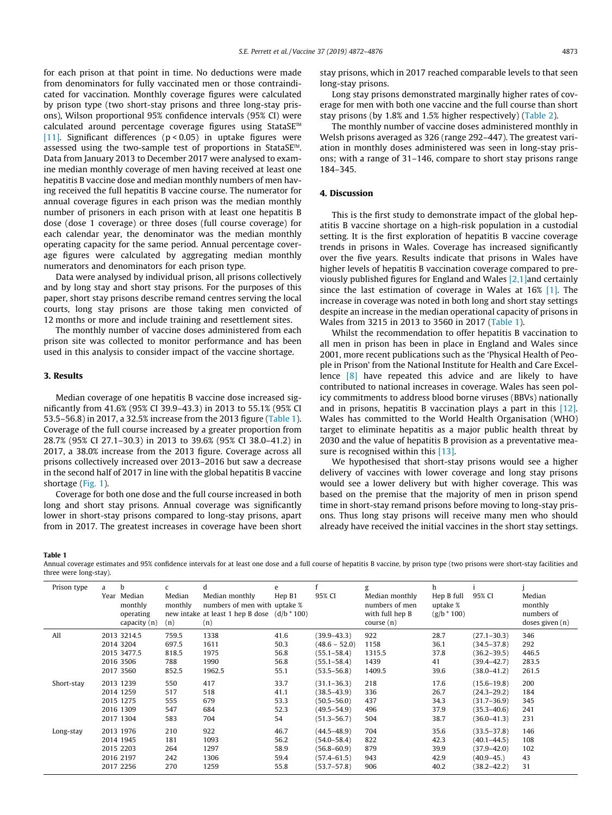<span id="page-1-0"></span>for each prison at that point in time. No deductions were made from denominators for fully vaccinated men or those contraindicated for vaccination. Monthly coverage figures were calculated by prison type (two short-stay prisons and three long-stay prisons), Wilson proportional 95% confidence intervals (95% CI) were calculated around percentage coverage figures using StataSE<sup>™</sup> [\[11\].](#page-4-0) Significant differences (p < 0.05) in uptake figures were assessed using the two-sample test of proportions in StataSE<sup>™</sup>. Data from January 2013 to December 2017 were analysed to examine median monthly coverage of men having received at least one hepatitis B vaccine dose and median monthly numbers of men having received the full hepatitis B vaccine course. The numerator for annual coverage figures in each prison was the median monthly number of prisoners in each prison with at least one hepatitis B dose (dose 1 coverage) or three doses (full course coverage) for each calendar year, the denominator was the median monthly operating capacity for the same period. Annual percentage coverage figures were calculated by aggregating median monthly numerators and denominators for each prison type.

Data were analysed by individual prison, all prisons collectively and by long stay and short stay prisons. For the purposes of this paper, short stay prisons describe remand centres serving the local courts, long stay prisons are those taking men convicted of 12 months or more and include training and resettlement sites.

The monthly number of vaccine doses administered from each prison site was collected to monitor performance and has been used in this analysis to consider impact of the vaccine shortage.

#### 3. Results

Median coverage of one hepatitis B vaccine dose increased significantly from 41.6% (95% CI 39.9–43.3) in 2013 to 55.1% (95% CI 53.5–56.8) in 2017, a 32.5% increase from the 2013 figure (Table 1). Coverage of the full course increased by a greater proportion from 28.7% (95% CI 27.1–30.3) in 2013 to 39.6% (95% CI 38.0–41.2) in 2017, a 38.0% increase from the 2013 figure. Coverage across all prisons collectively increased over 2013–2016 but saw a decrease in the second half of 2017 in line with the global hepatitis B vaccine shortage ([Fig. 1](#page-2-0)).

Coverage for both one dose and the full course increased in both long and short stay prisons. Annual coverage was significantly lower in short-stay prisons compared to long-stay prisons, apart from in 2017. The greatest increases in coverage have been short stay prisons, which in 2017 reached comparable levels to that seen long-stay prisons.

Long stay prisons demonstrated marginally higher rates of coverage for men with both one vaccine and the full course than short stay prisons (by 1.8% and 1.5% higher respectively) [\(Table 2\)](#page-3-0).

The monthly number of vaccine doses administered monthly in Welsh prisons averaged as 326 (range 292–447). The greatest variation in monthly doses administered was seen in long-stay prisons; with a range of 31–146, compare to short stay prisons range 184–345.

#### 4. Discussion

This is the first study to demonstrate impact of the global hepatitis B vaccine shortage on a high-risk population in a custodial setting. It is the first exploration of hepatitis B vaccine coverage trends in prisons in Wales. Coverage has increased significantly over the five years. Results indicate that prisons in Wales have higher levels of hepatitis B vaccination coverage compared to previously published figures for England and Wales [\[2,1\]](#page-3-0)and certainly since the last estimation of coverage in Wales at 16% [\[1\].](#page-3-0) The increase in coverage was noted in both long and short stay settings despite an increase in the median operational capacity of prisons in Wales from 3215 in 2013 to 3560 in 2017 (Table 1).

Whilst the recommendation to offer hepatitis B vaccination to all men in prison has been in place in England and Wales since 2001, more recent publications such as the 'Physical Health of People in Prison' from the National Institute for Health and Care Excellence [\[8\]](#page-4-0) have repeated this advice and are likely to have contributed to national increases in coverage. Wales has seen policy commitments to address blood borne viruses (BBVs) nationally and in prisons, hepatitis B vaccination plays a part in this  $[12]$ . Wales has committed to the World Health Organisation (WHO) target to eliminate hepatitis as a major public health threat by 2030 and the value of hepatitis B provision as a preventative mea-sure is recognised within this [\[13\]](#page-4-0).

We hypothesised that short-stay prisons would see a higher delivery of vaccines with lower coverage and long stay prisons would see a lower delivery but with higher coverage. This was based on the premise that the majority of men in prison spend time in short-stay remand prisons before moving to long-stay prisons. Thus long stay prisons will receive many men who should already have received the initial vaccines in the short stay settings.

Table 1

Annual coverage estimates and 95% confidence intervals for at least one dose and a full course of hepatitis B vaccine, by prison type (two prisons were short-stay facilities and three were long-stay).

| Prison type | a<br>Year                           | b<br>Median<br>monthly<br>operating<br>capacity (n)               | C<br>Median<br>monthly<br>(n)           | d<br>Median monthly<br>numbers of men with uptake %<br>new intake at least 1 hep B dose $(d/b * 100)$<br>(n) | e<br>Hep B1                          | 95% CI                                                                                      | g<br>Median monthly<br>numbers of men<br>with full hep B<br>course(n) | h<br>Hep B full<br>uptake %<br>$(g/b * 100)$ | 95% CI                                                                                      | Median<br>monthly<br>numbers of<br>doses given (n) |
|-------------|-------------------------------------|-------------------------------------------------------------------|-----------------------------------------|--------------------------------------------------------------------------------------------------------------|--------------------------------------|---------------------------------------------------------------------------------------------|-----------------------------------------------------------------------|----------------------------------------------|---------------------------------------------------------------------------------------------|----------------------------------------------------|
| All         |                                     | 2013 3214.5<br>2014 3204<br>2015 3477.5<br>2016 3506<br>2017 3560 | 759.5<br>697.5<br>818.5<br>788<br>852.5 | 1338<br>1611<br>1975<br>1990<br>1962.5                                                                       | 41.6<br>50.3<br>56.8<br>56.8<br>55.1 | $(39.9 - 43.3)$<br>$(48.6 - 52.0)$<br>$(55.1 - 58.4)$<br>$(55.1 - 58.4)$<br>$(53.5 - 56.8)$ | 922<br>1158<br>1315.5<br>1439<br>1409.5                               | 28.7<br>36.1<br>37.8<br>41<br>39.6           | $(27.1 - 30.3)$<br>$(34.5 - 37.8)$<br>$(36.2 - 39.5)$<br>$(39.4 - 42.7)$<br>$(38.0 - 41.2)$ | 346<br>292<br>446.5<br>283.5<br>261.5              |
| Short-stay  | 2015 1275<br>2016 1309              | 2013 1239<br>2014 1259<br>2017 1304                               | 550<br>517<br>555<br>547<br>583         | 417<br>518<br>679<br>684<br>704                                                                              | 33.7<br>41.1<br>53.3<br>52.3<br>54   | $(31.1 - 36.3)$<br>$(38.5 - 43.9)$<br>$(50.5 - 56.0)$<br>$(49.5 - 54.9)$<br>$(51.3 - 56.7)$ | 218<br>336<br>437<br>496<br>504                                       | 17.6<br>26.7<br>34.3<br>37.9<br>38.7         | $(15.6 - 19.8)$<br>$(24.3 - 29.2)$<br>$(31.7 - 36.9)$<br>$(35.3 - 40.6)$<br>$(36.0 - 41.3)$ | 200<br>184<br>345<br>241<br>231                    |
| Long-stay   | 2014 1945<br>2015 2203<br>2016 2197 | 2013 1976<br>2017 2256                                            | 210<br>181<br>264<br>242<br>270         | 922<br>1093<br>1297<br>1306<br>1259                                                                          | 46.7<br>56.2<br>58.9<br>59.4<br>55.8 | $(44.5 - 48.9)$<br>$(54.0 - 58.4)$<br>$(56.8 - 60.9)$<br>$(57.4 - 61.5)$<br>$(53.7 - 57.8)$ | 704<br>822<br>879<br>943<br>906                                       | 35.6<br>42.3<br>39.9<br>42.9<br>40.2         | $(33.5 - 37.8)$<br>$(40.1 - 44.5)$<br>$(37.9 - 42.0)$<br>$(40.9 - 45.)$<br>$(38.2 - 42.2)$  | 146<br>108<br>102<br>43<br>31                      |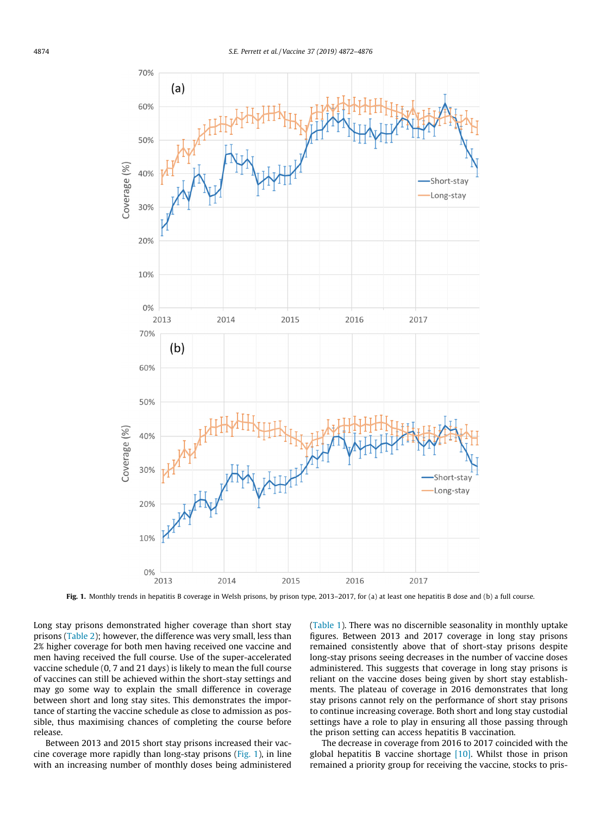<span id="page-2-0"></span>

Fig. 1. Monthly trends in hepatitis B coverage in Welsh prisons, by prison type, 2013–2017, for (a) at least one hepatitis B dose and (b) a full course.

Long stay prisons demonstrated higher coverage than short stay prisons [\(Table 2](#page-3-0)); however, the difference was very small, less than 2% higher coverage for both men having received one vaccine and men having received the full course. Use of the super-accelerated vaccine schedule (0, 7 and 21 days) is likely to mean the full course of vaccines can still be achieved within the short-stay settings and may go some way to explain the small difference in coverage between short and long stay sites. This demonstrates the importance of starting the vaccine schedule as close to admission as possible, thus maximising chances of completing the course before release.

Between 2013 and 2015 short stay prisons increased their vaccine coverage more rapidly than long-stay prisons (Fig. 1), in line with an increasing number of monthly doses being administered ([Table 1](#page-1-0)). There was no discernible seasonality in monthly uptake figures. Between 2013 and 2017 coverage in long stay prisons remained consistently above that of short-stay prisons despite long-stay prisons seeing decreases in the number of vaccine doses administered. This suggests that coverage in long stay prisons is reliant on the vaccine doses being given by short stay establishments. The plateau of coverage in 2016 demonstrates that long stay prisons cannot rely on the performance of short stay prisons to continue increasing coverage. Both short and long stay custodial settings have a role to play in ensuring all those passing through the prison setting can access hepatitis B vaccination.

The decrease in coverage from 2016 to 2017 coincided with the global hepatitis B vaccine shortage  $[10]$ . Whilst those in prison remained a priority group for receiving the vaccine, stocks to pris-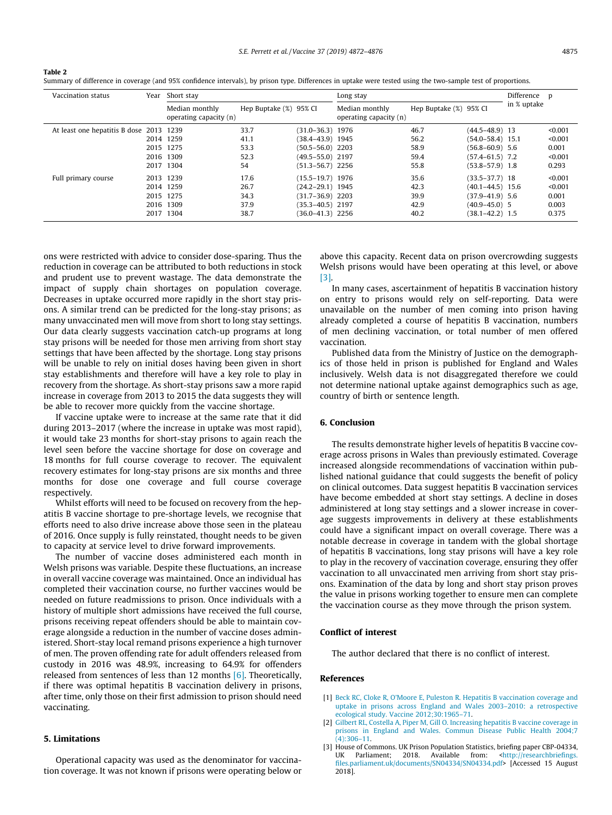| I | ۰. |
|---|----|
|---|----|

<span id="page-3-0"></span>

| <b>Table 2</b> |                                                                                                                                                              |  |  |  |  |  |
|----------------|--------------------------------------------------------------------------------------------------------------------------------------------------------------|--|--|--|--|--|
|                | Summary of difference in coverage (and 95% confidence intervals), by prison type. Differences in uptake were tested using the two-sample test of proportions |  |  |  |  |  |

| Vaccination status<br>Year              |  | Short stay                               |                        |                      | Long stay                                | Difference p           |                      |             |         |
|-----------------------------------------|--|------------------------------------------|------------------------|----------------------|------------------------------------------|------------------------|----------------------|-------------|---------|
|                                         |  | Median monthly<br>operating capacity (n) | Hep Buptake (%) 95% CI |                      | Median monthly<br>operating capacity (n) | Hep Buptake (%) 95% CI |                      | in % uptake |         |
| At least one hepatitis B dose 2013 1239 |  |                                          | 33.7                   | $(31.0 - 36.3)$ 1976 |                                          | 46.7                   | $(44.5 - 48.9)$ 13   |             | < 0.001 |
|                                         |  | 2014 1259                                | 41.1                   | $(38.4 - 43.9)$ 1945 |                                          | 56.2                   | $(54.0 - 58.4)$ 15.1 |             | < 0.001 |
|                                         |  | 2015 1275                                | 53.3                   | $(50.5 - 56.0)$ 2203 |                                          | 58.9                   | $(56.8 - 60.9)$ 5.6  |             | 0.001   |
|                                         |  | 2016 1309                                | 52.3                   | $(49.5 - 55.0)$ 2197 |                                          | 59.4                   | $(57.4 - 61.5)$ 7.2  |             | < 0.001 |
|                                         |  | 2017 1304                                | 54                     | $(51.3 - 56.7)$ 2256 |                                          | 55.8                   | $(53.8 - 57.9)$ 1.8  |             | 0.293   |
| Full primary course                     |  | 2013 1239                                | 17.6                   | $(15.5 - 19.7)$ 1976 |                                          | 35.6                   | $(33.5 - 37.7)$ 18   |             | < 0.001 |
|                                         |  | 2014 1259                                | 26.7                   | $(24.2 - 29.1)$ 1945 |                                          | 42.3                   | $(40.1 - 44.5)$ 15.6 |             | < 0.001 |
|                                         |  | 2015 1275                                | 34.3                   | $(31.7-36.9)$ 2203   |                                          | 39.9                   | $(37.9 - 41.9)$ 5.6  |             | 0.001   |
|                                         |  | 2016 1309                                | 37.9                   | $(35.3 - 40.5)$ 2197 |                                          | 42.9                   | $(40.9 - 45.0)$ 5    |             | 0.003   |
|                                         |  | 2017 1304                                | 38.7                   | $(36.0 - 41.3)$ 2256 |                                          | 40.2                   | $(38.1 - 42.2)$ 1.5  |             | 0.375   |

ons were restricted with advice to consider dose-sparing. Thus the reduction in coverage can be attributed to both reductions in stock and prudent use to prevent wastage. The data demonstrate the impact of supply chain shortages on population coverage. Decreases in uptake occurred more rapidly in the short stay prisons. A similar trend can be predicted for the long-stay prisons; as many unvaccinated men will move from short to long stay settings. Our data clearly suggests vaccination catch-up programs at long stay prisons will be needed for those men arriving from short stay settings that have been affected by the shortage. Long stay prisons will be unable to rely on initial doses having been given in short stay establishments and therefore will have a key role to play in recovery from the shortage. As short-stay prisons saw a more rapid increase in coverage from 2013 to 2015 the data suggests they will be able to recover more quickly from the vaccine shortage.

If vaccine uptake were to increase at the same rate that it did during 2013–2017 (where the increase in uptake was most rapid), it would take 23 months for short-stay prisons to again reach the level seen before the vaccine shortage for dose on coverage and 18 months for full course coverage to recover. The equivalent recovery estimates for long-stay prisons are six months and three months for dose one coverage and full course coverage respectively.

Whilst efforts will need to be focused on recovery from the hepatitis B vaccine shortage to pre-shortage levels, we recognise that efforts need to also drive increase above those seen in the plateau of 2016. Once supply is fully reinstated, thought needs to be given to capacity at service level to drive forward improvements.

The number of vaccine doses administered each month in Welsh prisons was variable. Despite these fluctuations, an increase in overall vaccine coverage was maintained. Once an individual has completed their vaccination course, no further vaccines would be needed on future readmissions to prison. Once individuals with a history of multiple short admissions have received the full course, prisons receiving repeat offenders should be able to maintain coverage alongside a reduction in the number of vaccine doses administered. Short-stay local remand prisons experience a high turnover of men. The proven offending rate for adult offenders released from custody in 2016 was 48.9%, increasing to 64.9% for offenders released from sentences of less than 12 months [\[6\].](#page-4-0) Theoretically, if there was optimal hepatitis B vaccination delivery in prisons, after time, only those on their first admission to prison should need vaccinating.

### 5. Limitations

Operational capacity was used as the denominator for vaccination coverage. It was not known if prisons were operating below or above this capacity. Recent data on prison overcrowding suggests Welsh prisons would have been operating at this level, or above [3].

In many cases, ascertainment of hepatitis B vaccination history on entry to prisons would rely on self-reporting. Data were unavailable on the number of men coming into prison having already completed a course of hepatitis B vaccination, numbers of men declining vaccination, or total number of men offered vaccination.

Published data from the Ministry of Justice on the demographics of those held in prison is published for England and Wales inclusively. Welsh data is not disaggregated therefore we could not determine national uptake against demographics such as age, country of birth or sentence length.

#### 6. Conclusion

The results demonstrate higher levels of hepatitis B vaccine coverage across prisons in Wales than previously estimated. Coverage increased alongside recommendations of vaccination within published national guidance that could suggests the benefit of policy on clinical outcomes. Data suggest hepatitis B vaccination services have become embedded at short stay settings. A decline in doses administered at long stay settings and a slower increase in coverage suggests improvements in delivery at these establishments could have a significant impact on overall coverage. There was a notable decrease in coverage in tandem with the global shortage of hepatitis B vaccinations, long stay prisons will have a key role to play in the recovery of vaccination coverage, ensuring they offer vaccination to all unvaccinated men arriving from short stay prisons. Examination of the data by long and short stay prison proves the value in prisons working together to ensure men can complete the vaccination course as they move through the prison system.

#### Conflict of interest

The author declared that there is no conflict of interest.

#### References

- [1] [Beck RC, Cloke R, O'Moore E, Puleston R. Hepatitis B vaccination coverage and](http://refhub.elsevier.com/S0264-410X(19)30272-5/h0005) [uptake in prisons across England and Wales 2003–2010: a retrospective](http://refhub.elsevier.com/S0264-410X(19)30272-5/h0005) [ecological study. Vaccine 2012;30:1965–71.](http://refhub.elsevier.com/S0264-410X(19)30272-5/h0005)
- [2] [Gilbert RL, Costella A, Piper M, Gill O. Increasing hepatitis B vaccine coverage in](http://refhub.elsevier.com/S0264-410X(19)30272-5/h0010) [prisons in England and Wales. Commun Disease Public Health 2004;7](http://refhub.elsevier.com/S0264-410X(19)30272-5/h0010) [\(4\):306–11](http://refhub.elsevier.com/S0264-410X(19)30272-5/h0010).
- [3] House of Commons. UK Prison Population Statistics, briefing paper CBP-04334,<br>UK Parliament: 2018. Available from: <http://researchbriefings.  $\frac{1}{\sqrt{2}}$  -  $\frac{1}{\sqrt{2}}$  researchbriefings. [files.parliament.uk/documents/SN04334/SN04334.pdf](http://researchbriefings.files.parliament.uk/documents/SN04334/SN04334.pdf)> [Accessed 15 August 2018].